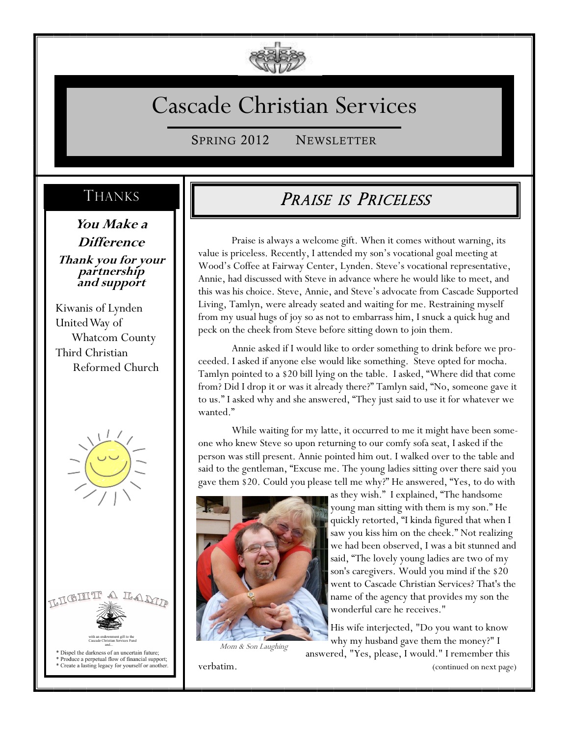

# Cascade Christian Services

SPRING 2012 NEWSLETTER

### THANKS

**You Make a Difference Thank you for your partnership and support**

Kiwanis of Lynden United Way of Whatcom County Third Christian Reformed Church





Dispel the darkness of an uncertain future; \* Produce a perpetual flow of financial support,

Create a lasting legacy for yourself or another.

## PRAISE IS PRICELESS

Praise is always a welcome gift. When it comes without warning, its value is priceless. Recently, I attended my son's vocational goal meeting at Wood's Coffee at Fairway Center, Lynden. Steve's vocational representative, Annie, had discussed with Steve in advance where he would like to meet, and this was his choice. Steve, Annie, and Steve's advocate from Cascade Supported Living, Tamlyn, were already seated and waiting for me. Restraining myself from my usual hugs of joy so as not to embarrass him, I snuck a quick hug and peck on the cheek from Steve before sitting down to join them.

Annie asked if I would like to order something to drink before we proceeded. I asked if anyone else would like something. Steve opted for mocha. Tamlyn pointed to a \$20 bill lying on the table. I asked, "Where did that come from? Did I drop it or was it already there?" Tamlyn said, "No, someone gave it to us." I asked why and she answered, "They just said to use it for whatever we wanted."

While waiting for my latte, it occurred to me it might have been someone who knew Steve so upon returning to our comfy sofa seat, I asked if the person was still present. Annie pointed him out. I walked over to the table and said to the gentleman, "Excuse me. The young ladies sitting over there said you gave them \$20. Could you please tell me why?" He answered, "Yes, to do with



Mom & Son Laughing

as they wish." I explained, "The handsome young man sitting with them is my son." He quickly retorted, "I kinda figured that when I saw you kiss him on the cheek." Not realizing we had been observed, I was a bit stunned and said, "The lovely young ladies are two of my son's caregivers. Would you mind if the \$20 went to Cascade Christian Services? That's the name of the agency that provides my son the wonderful care he receives."

His wife interjected, "Do you want to know why my husband gave them the money?" I answered, "Yes, please, I would." I remember this

verbatim. (continued on next page)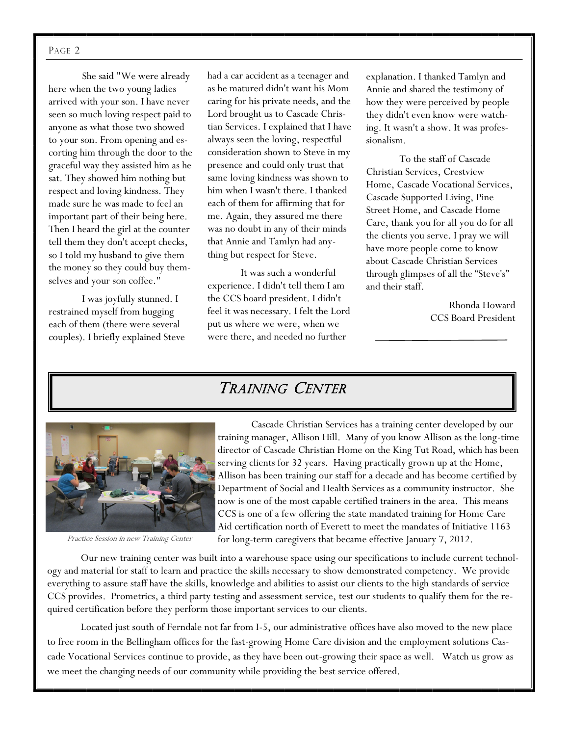#### PAGE 2

She said "We were already here when the two young ladies arrived with your son. I have never seen so much loving respect paid to anyone as what those two showed to your son. From opening and escorting him through the door to the graceful way they assisted him as he sat. They showed him nothing but respect and loving kindness. They made sure he was made to feel an important part of their being here. Then I heard the girl at the counter tell them they don't accept checks, so I told my husband to give them the money so they could buy themselves and your son coffee."

I was joyfully stunned. I restrained myself from hugging each of them (there were several couples). I briefly explained Steve had a car accident as a teenager and as he matured didn't want his Mom caring for his private needs, and the Lord brought us to Cascade Christian Services. I explained that I have always seen the loving, respectful consideration shown to Steve in my presence and could only trust that same loving kindness was shown to him when I wasn't there. I thanked each of them for affirming that for me. Again, they assured me there was no doubt in any of their minds that Annie and Tamlyn had anything but respect for Steve.

It was such a wonderful experience. I didn't tell them I am the CCS board president. I didn't feel it was necessary. I felt the Lord put us where we were, when we were there, and needed no further

explanation. I thanked Tamlyn and Annie and shared the testimony of how they were perceived by people they didn't even know were watching. It wasn't a show. It was professionalism.

To the staff of Cascade Christian Services, Crestview Home, Cascade Vocational Services, Cascade Supported Living, Pine Street Home, and Cascade Home Care, thank you for all you do for all the clients you serve. I pray we will have more people come to know about Cascade Christian Services through glimpses of all the "Steve's" and their staff.

> Rhonda Howard CCS Board President

#### TRAINING CENTER



Practice Session in new Training Center

Cascade Christian Services has a training center developed by our training manager, Allison Hill. Many of you know Allison as the long-time director of Cascade Christian Home on the King Tut Road, which has been serving clients for 32 years. Having practically grown up at the Home, Allison has been training our staff for a decade and has become certified by Department of Social and Health Services as a community instructor. She now is one of the most capable certified trainers in the area. This means CCS is one of a few offering the state mandated training for Home Care Aid certification north of Everett to meet the mandates of Initiative 1163 for long-term caregivers that became effective January 7, 2012.

Our new training center was built into a warehouse space using our specifications to include current technology and material for staff to learn and practice the skills necessary to show demonstrated competency. We provide everything to assure staff have the skills, knowledge and abilities to assist our clients to the high standards of service CCS provides. Prometrics, a third party testing and assessment service, test our students to qualify them for the required certification before they perform those important services to our clients.

Located just south of Ferndale not far from I-5, our administrative offices have also moved to the new place to free room in the Bellingham offices for the fast-growing Home Care division and the employment solutions Cascade Vocational Services continue to provide, as they have been out-growing their space as well. Watch us grow as we meet the changing needs of our community while providing the best service offered.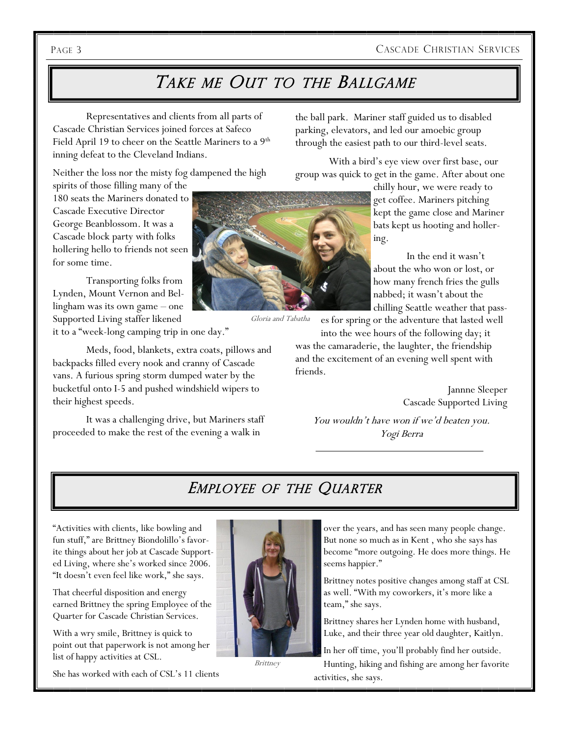#### PAGE 3 CASCADE CHRISTIAN SERVICES

## TAKE ME OUT TO THE BALLGAME

Representatives and clients from all parts of Cascade Christian Services joined forces at Safeco Field April 19 to cheer on the Seattle Mariners to a  $9<sup>th</sup>$ inning defeat to the Cleveland Indians.

Neither the loss nor the misty fog dampened the high

spirits of those filling many of the 180 seats the Mariners donated to Cascade Executive Director George Beanblossom. It was a Cascade block party with folks hollering hello to friends not seen for some time.

Transporting folks from Lynden, Mount Vernon and Bellingham was its own game – one Supported Living staffer likened it to a "week-long camping trip in one day."

Meds, food, blankets, extra coats, pillows and backpacks filled every nook and cranny of Cascade vans. A furious spring storm dumped water by the bucketful onto I-5 and pushed windshield wipers to their highest speeds.

It was a challenging drive, but Mariners staff proceeded to make the rest of the evening a walk in

the ball park. Mariner staff guided us to disabled parking, elevators, and led our amoebic group through the easiest path to our third-level seats.

With a bird's eye view over first base, our group was quick to get in the game. After about one

> chilly hour, we were ready to get coffee. Mariners pitching kept the game close and Mariner bats kept us hooting and hollering.

In the end it wasn't about the who won or lost, or how many french fries the gulls nabbed; it wasn't about the chilling Seattle weather that pass-

es for spring or the adventure that lasted well into the wee hours of the following day; it Gloria and Tabatha

was the camaraderie, the laughter, the friendship and the excitement of an evening well spent with friends.

> Jannne Sleeper Cascade Supported Living

You wouldn't have won if we'd beaten you. Yogi Berra

#### EMPLOYEE OF THE QUARTER

"Activities with clients, like bowling and fun stuff," are Brittney Biondolillo's favorite things about her job at Cascade Supported Living, where she's worked since 2006. "It doesn't even feel like work," she says.

That cheerful disposition and energy earned Brittney the spring Employee of the Quarter for Cascade Christian Services.

With a wry smile, Brittney is quick to point out that paperwork is not among her list of happy activities at CSL.

She has worked with each of CSL's 11 clients



**Brittney** 

over the years, and has seen many people change. But none so much as in Kent , who she says has become "more outgoing. He does more things. He seems happier."

Brittney notes positive changes among staff at CSL as well. "With my coworkers, it's more like a team," she says.

Brittney shares her Lynden home with husband, Luke, and their three year old daughter, Kaitlyn.

In her off time, you'll probably find her outside. Hunting, hiking and fishing are among her favorite activities, she says.